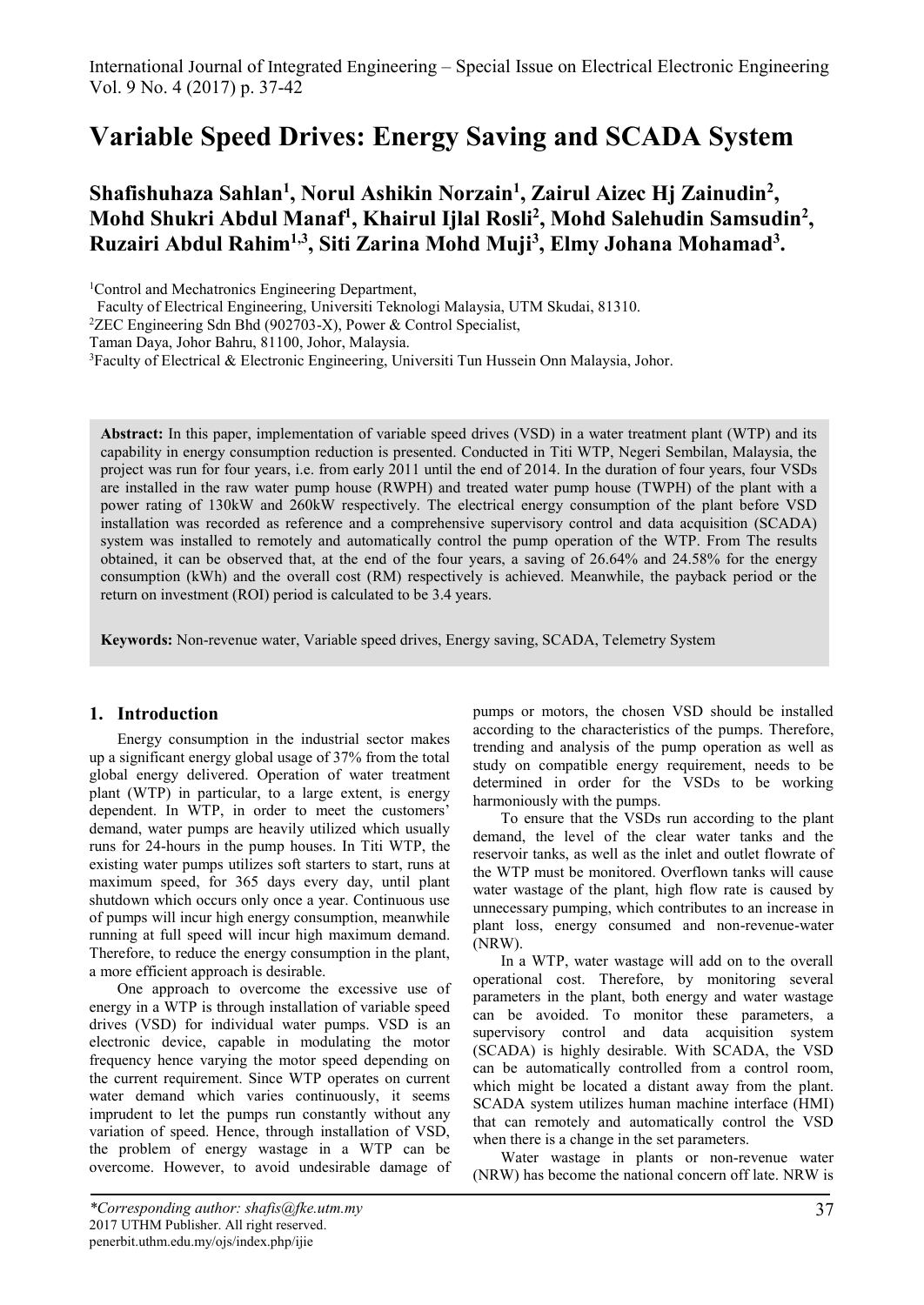# **Variable Speed Drives: Energy Saving and SCADA System**

# **Shafishuhaza Sahlan<sup>1</sup> , Norul Ashikin Norzain<sup>1</sup> , Zairul Aizec Hj Zainudin<sup>2</sup> , Mohd Shukri Abdul Manaf<sup>1</sup> , Khairul Ijlal Rosli<sup>2</sup> , Mohd Salehudin Samsudin<sup>2</sup> , Ruzairi Abdul Rahim1,3, Siti Zarina Mohd Muji<sup>3</sup> , Elmy Johana Mohamad<sup>3</sup> .**

<sup>1</sup>Control and Mechatronics Engineering Department,

Faculty of Electrical Engineering, Universiti Teknologi Malaysia, UTM Skudai, 81310.

<sup>2</sup>ZEC Engineering Sdn Bhd (902703-X), Power & Control Specialist,

Taman Daya, Johor Bahru, 81100, Johor, Malaysia.

<sup>3</sup>Faculty of Electrical & Electronic Engineering, Universiti Tun Hussein Onn Malaysia, Johor.

**Abstract:** In this paper, implementation of variable speed drives (VSD) in a water treatment plant (WTP) and its capability in energy consumption reduction is presented. Conducted in Titi WTP, Negeri Sembilan, Malaysia, the project was run for four years, i.e. from early 2011 until the end of 2014. In the duration of four years, four VSDs are installed in the raw water pump house (RWPH) and treated water pump house (TWPH) of the plant with a power rating of 130kW and 260kW respectively. The electrical energy consumption of the plant before VSD installation was recorded as reference and a comprehensive supervisory control and data acquisition (SCADA) system was installed to remotely and automatically control the pump operation of the WTP. From The results obtained, it can be observed that, at the end of the four years, a saving of 26.64% and 24.58% for the energy consumption (kWh) and the overall cost (RM) respectively is achieved. Meanwhile, the payback period or the return on investment (ROI) period is calculated to be 3.4 years.

**Keywords:** Non-revenue water, Variable speed drives, Energy saving, SCADA, Telemetry System

# **1. Introduction**

Energy consumption in the industrial sector makes up a significant energy global usage of 37% from the total global energy delivered. Operation of water treatment plant (WTP) in particular, to a large extent, is energy dependent. In WTP, in order to meet the customers' demand, water pumps are heavily utilized which usually runs for 24-hours in the pump houses. In Titi WTP, the existing water pumps utilizes soft starters to start, runs at maximum speed, for 365 days every day, until plant shutdown which occurs only once a year. Continuous use of pumps will incur high energy consumption, meanwhile running at full speed will incur high maximum demand. Therefore, to reduce the energy consumption in the plant, a more efficient approach is desirable.

One approach to overcome the excessive use of energy in a WTP is through installation of variable speed drives (VSD) for individual water pumps. VSD is an electronic device, capable in modulating the motor frequency hence varying the motor speed depending on the current requirement. Since WTP operates on current water demand which varies continuously, it seems imprudent to let the pumps run constantly without any variation of speed. Hence, through installation of VSD, the problem of energy wastage in a WTP can be overcome. However, to avoid undesirable damage of

pumps or motors, the chosen VSD should be installed according to the characteristics of the pumps. Therefore, trending and analysis of the pump operation as well as study on compatible energy requirement, needs to be determined in order for the VSDs to be working harmoniously with the pumps.

To ensure that the VSDs run according to the plant demand, the level of the clear water tanks and the reservoir tanks, as well as the inlet and outlet flowrate of the WTP must be monitored. Overflown tanks will cause water wastage of the plant, high flow rate is caused by unnecessary pumping, which contributes to an increase in plant loss, energy consumed and non-revenue-water (NRW).

In a WTP, water wastage will add on to the overall operational cost. Therefore, by monitoring several parameters in the plant, both energy and water wastage can be avoided. To monitor these parameters, a supervisory control and data acquisition system (SCADA) is highly desirable. With SCADA, the VSD can be automatically controlled from a control room, which might be located a distant away from the plant. SCADA system utilizes human machine interface (HMI) that can remotely and automatically control the VSD when there is a change in the set parameters.

Water wastage in plants or non-revenue water (NRW) has become the national concern off late. NRW is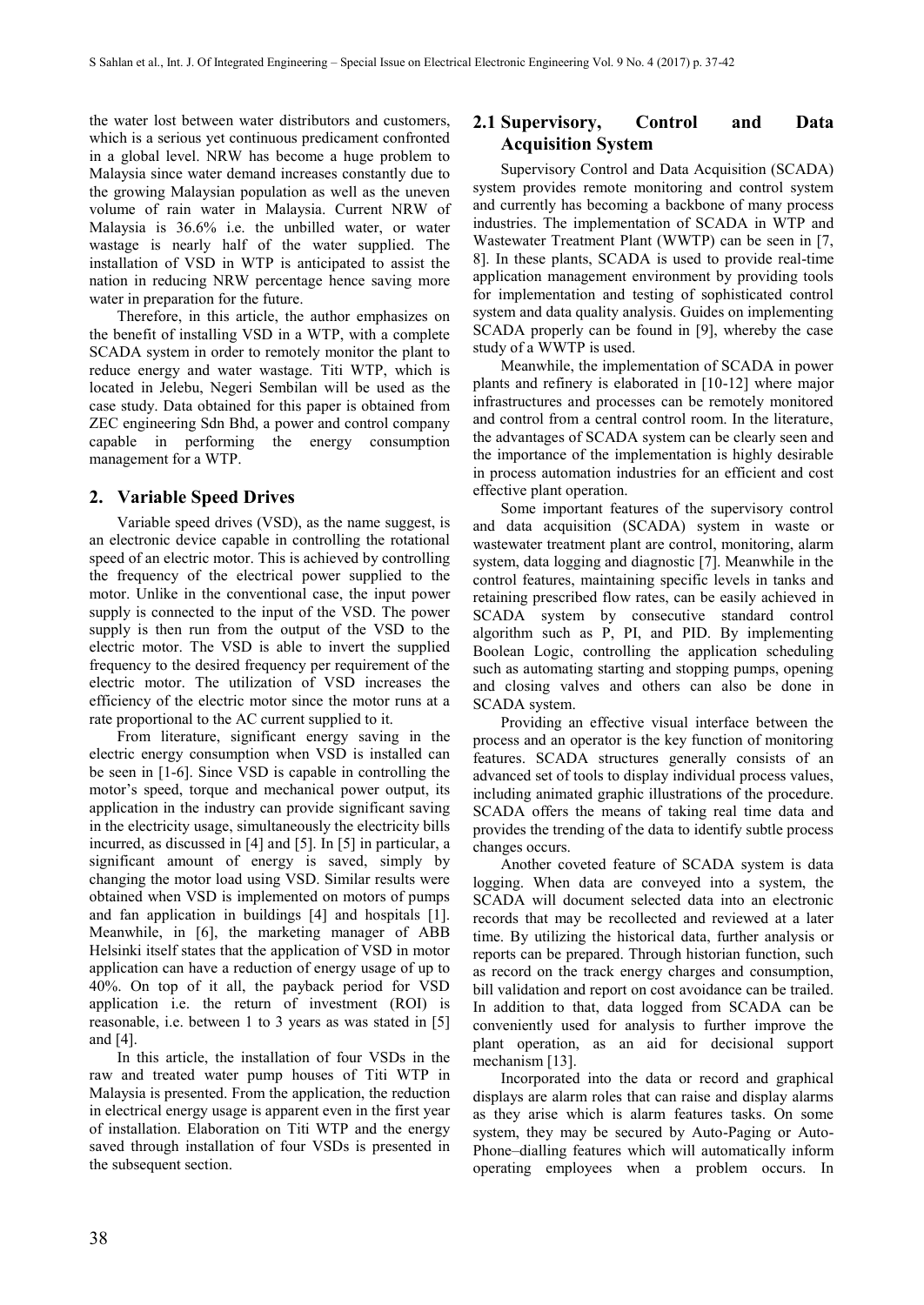the water lost between water distributors and customers, which is a serious yet continuous predicament confronted in a global level. NRW has become a huge problem to Malaysia since water demand increases constantly due to the growing Malaysian population as well as the uneven volume of rain water in Malaysia. Current NRW of Malaysia is 36.6% i.e. the unbilled water, or water wastage is nearly half of the water supplied. The installation of VSD in WTP is anticipated to assist the nation in reducing NRW percentage hence saving more water in preparation for the future.

Therefore, in this article, the author emphasizes on the benefit of installing VSD in a WTP, with a complete SCADA system in order to remotely monitor the plant to reduce energy and water wastage. Titi WTP, which is located in Jelebu, Negeri Sembilan will be used as the case study. Data obtained for this paper is obtained from ZEC engineering Sdn Bhd, a power and control company capable in performing the energy consumption management for a WTP.

#### **2. Variable Speed Drives**

Variable speed drives (VSD), as the name suggest, is an electronic device capable in controlling the rotational speed of an electric motor. This is achieved by controlling the frequency of the electrical power supplied to the motor. Unlike in the conventional case, the input power supply is connected to the input of the VSD. The power supply is then run from the output of the VSD to the electric motor. The VSD is able to invert the supplied frequency to the desired frequency per requirement of the electric motor. The utilization of VSD increases the efficiency of the electric motor since the motor runs at a rate proportional to the AC current supplied to it.

From literature, significant energy saving in the electric energy consumption when VSD is installed can be seen in [1-6]. Since VSD is capable in controlling the motor's speed, torque and mechanical power output, its application in the industry can provide significant saving in the electricity usage, simultaneously the electricity bills incurred, as discussed in [4] and [5]. In [5] in particular, a significant amount of energy is saved, simply by changing the motor load using VSD. Similar results were obtained when VSD is implemented on motors of pumps and fan application in buildings [4] and hospitals [1]. Meanwhile, in [6], the marketing manager of ABB Helsinki itself states that the application of VSD in motor application can have a reduction of energy usage of up to 40%. On top of it all, the payback period for VSD application i.e. the return of investment (ROI) is reasonable, i.e. between 1 to 3 years as was stated in [5] and [4].

In this article, the installation of four VSDs in the raw and treated water pump houses of Titi WTP in Malaysia is presented. From the application, the reduction in electrical energy usage is apparent even in the first year of installation. Elaboration on Titi WTP and the energy saved through installation of four VSDs is presented in the subsequent section.

## **2.1 Supervisory, Control and Data Acquisition System**

Supervisory Control and Data Acquisition (SCADA) system provides remote monitoring and control system and currently has becoming a backbone of many process industries. The implementation of SCADA in WTP and Wastewater Treatment Plant (WWTP) can be seen in [7, 8]. In these plants, SCADA is used to provide real-time application management environment by providing tools for implementation and testing of sophisticated control system and data quality analysis. Guides on implementing SCADA properly can be found in [9], whereby the case study of a WWTP is used.

Meanwhile, the implementation of SCADA in power plants and refinery is elaborated in [10-12] where major infrastructures and processes can be remotely monitored and control from a central control room. In the literature, the advantages of SCADA system can be clearly seen and the importance of the implementation is highly desirable in process automation industries for an efficient and cost effective plant operation.

Some important features of the supervisory control and data acquisition (SCADA) system in waste or wastewater treatment plant are control, monitoring, alarm system, data logging and diagnostic [7]. Meanwhile in the control features, maintaining specific levels in tanks and retaining prescribed flow rates, can be easily achieved in SCADA system by consecutive standard control algorithm such as P, PI, and PID. By implementing Boolean Logic, controlling the application scheduling such as automating starting and stopping pumps, opening and closing valves and others can also be done in SCADA system.

Providing an effective visual interface between the process and an operator is the key function of monitoring features. SCADA structures generally consists of an advanced set of tools to display individual process values, including animated graphic illustrations of the procedure. SCADA offers the means of taking real time data and provides the trending of the data to identify subtle process changes occurs.

Another coveted feature of SCADA system is data logging. When data are conveyed into a system, the SCADA will document selected data into an electronic records that may be recollected and reviewed at a later time. By utilizing the historical data, further analysis or reports can be prepared. Through historian function, such as record on the track energy charges and consumption, bill validation and report on cost avoidance can be trailed. In addition to that, data logged from SCADA can be conveniently used for analysis to further improve the plant operation, as an aid for decisional support mechanism [13].

Incorporated into the data or record and graphical displays are alarm roles that can raise and display alarms as they arise which is alarm features tasks. On some system, they may be secured by Auto-Paging or Auto-Phone–dialling features which will automatically inform operating employees when a problem occurs. In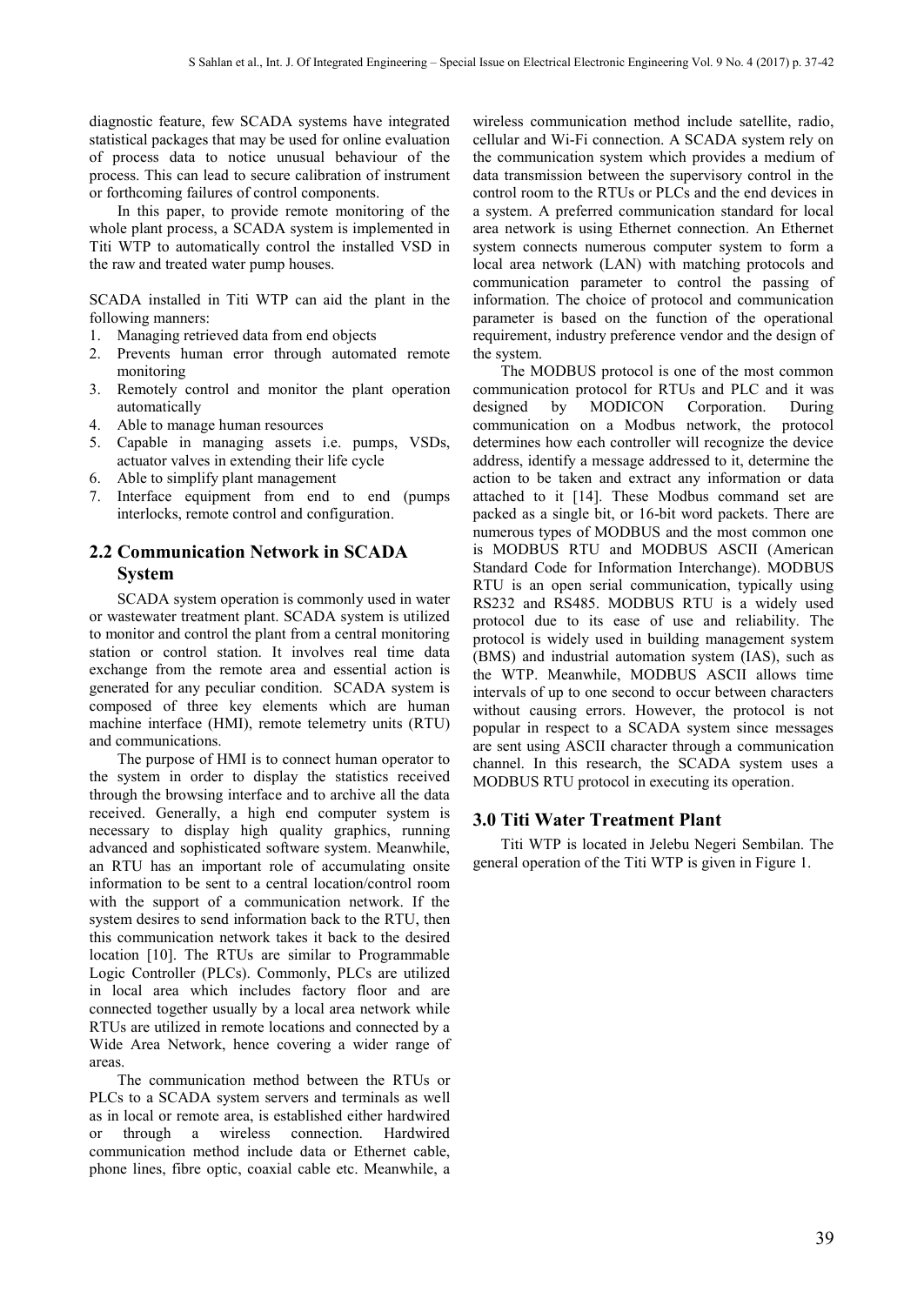diagnostic feature, few SCADA systems have integrated statistical packages that may be used for online evaluation of process data to notice unusual behaviour of the process. This can lead to secure calibration of instrument or forthcoming failures of control components.

In this paper, to provide remote monitoring of the whole plant process, a SCADA system is implemented in Titi WTP to automatically control the installed VSD in the raw and treated water pump houses.

SCADA installed in Titi WTP can aid the plant in the following manners:

- 1. Managing retrieved data from end objects
- 2. Prevents human error through automated remote monitoring
- 3. Remotely control and monitor the plant operation automatically
- 4. Able to manage human resources
- 5. Capable in managing assets i.e. pumps, VSDs, actuator valves in extending their life cycle
- 6. Able to simplify plant management
- 7. Interface equipment from end to end (pumps interlocks, remote control and configuration.

# **2.2 Communication Network in SCADA System**

SCADA system operation is commonly used in water or wastewater treatment plant. SCADA system is utilized to monitor and control the plant from a central monitoring station or control station. It involves real time data exchange from the remote area and essential action is generated for any peculiar condition. SCADA system is composed of three key elements which are human machine interface (HMI), remote telemetry units (RTU) and communications.

The purpose of HMI is to connect human operator to the system in order to display the statistics received through the browsing interface and to archive all the data received. Generally, a high end computer system is necessary to display high quality graphics, running advanced and sophisticated software system. Meanwhile, an RTU has an important role of accumulating onsite information to be sent to a central location/control room with the support of a communication network. If the system desires to send information back to the RTU, then this communication network takes it back to the desired location [10]. The RTUs are similar to Programmable Logic Controller (PLCs). Commonly, PLCs are utilized in local area which includes factory floor and are connected together usually by a local area network while RTUs are utilized in remote locations and connected by a Wide Area Network, hence covering a wider range of areas.

The communication method between the RTUs or PLCs to a SCADA system servers and terminals as well as in local or remote area, is established either hardwired or through a wireless connection. Hardwired communication method include data or Ethernet cable, phone lines, fibre optic, coaxial cable etc. Meanwhile, a

wireless communication method include satellite, radio, cellular and Wi-Fi connection. A SCADA system rely on the communication system which provides a medium of data transmission between the supervisory control in the control room to the RTUs or PLCs and the end devices in a system. A preferred communication standard for local area network is using Ethernet connection. An Ethernet system connects numerous computer system to form a local area network (LAN) with matching protocols and communication parameter to control the passing of information. The choice of protocol and communication parameter is based on the function of the operational requirement, industry preference vendor and the design of the system.

The MODBUS protocol is one of the most common communication protocol for RTUs and PLC and it was designed by MODICON Corporation. During communication on a Modbus network, the protocol determines how each controller will recognize the device address, identify a message addressed to it, determine the action to be taken and extract any information or data attached to it [14]. These Modbus command set are packed as a single bit, or 16-bit word packets. There are numerous types of MODBUS and the most common one is MODBUS RTU and MODBUS ASCII (American Standard Code for Information Interchange). MODBUS RTU is an open serial communication, typically using RS232 and RS485. MODBUS RTU is a widely used protocol due to its ease of use and reliability. The protocol is widely used in building management system (BMS) and industrial automation system (IAS), such as the WTP. Meanwhile, MODBUS ASCII allows time intervals of up to one second to occur between characters without causing errors. However, the protocol is not popular in respect to a SCADA system since messages are sent using ASCII character through a communication channel. In this research, the SCADA system uses a MODBUS RTU protocol in executing its operation.

#### **3.0 Titi Water Treatment Plant**

Titi WTP is located in Jelebu Negeri Sembilan. The general operation of the Titi WTP is given in Figure 1.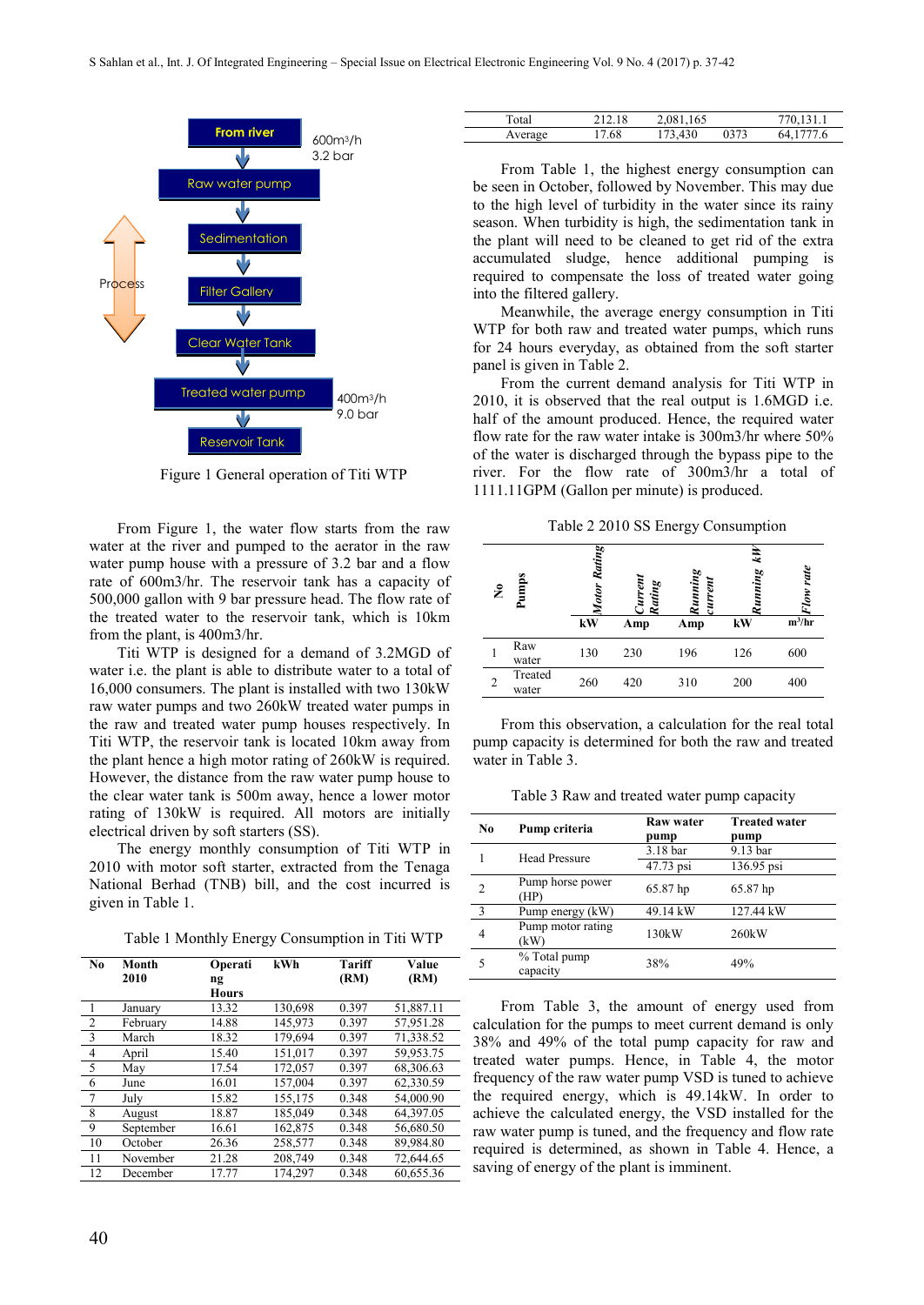

Figure 1 General operation of Titi WTP

From Figure 1, the water flow starts from the raw water at the river and pumped to the aerator in the raw water pump house with a pressure of 3.2 bar and a flow rate of 600m3/hr. The reservoir tank has a capacity of 500,000 gallon with 9 bar pressure head. The flow rate of the treated water to the reservoir tank, which is 10km from the plant, is 400m3/hr.

Titi WTP is designed for a demand of 3.2MGD of water i.e. the plant is able to distribute water to a total of 16,000 consumers. The plant is installed with two 130kW raw water pumps and two 260kW treated water pumps in the raw and treated water pump houses respectively. In Titi WTP, the reservoir tank is located 10km away from the plant hence a high motor rating of 260kW is required. However, the distance from the raw water pump house to the clear water tank is 500m away, hence a lower motor rating of 130kW is required. All motors are initially electrical driven by soft starters (SS).

The energy monthly consumption of Titi WTP in 2010 with motor soft starter, extracted from the Tenaga National Berhad (TNB) bill, and the cost incurred is given in Table 1.

Table 1 Monthly Energy Consumption in Titi WTP

| N <sub>0</sub> | Month     | Operati      | kWh     | Tariff | Value     |
|----------------|-----------|--------------|---------|--------|-----------|
|                | 2010      | ng           |         | (RM)   | (RM)      |
|                |           | <b>Hours</b> |         |        |           |
| $\overline{1}$ | January   | 13.32        | 130,698 | 0.397  | 51,887.11 |
| $\overline{2}$ | February  | 14.88        | 145,973 | 0.397  | 57,951.28 |
| $\overline{3}$ | March     | 18.32        | 179,694 | 0.397  | 71,338.52 |
| $\overline{4}$ | April     | 15.40        | 151.017 | 0.397  | 59,953.75 |
| 5              | May       | 17.54        | 172,057 | 0.397  | 68,306.63 |
| 6              | June      | 16.01        | 157,004 | 0.397  | 62,330.59 |
| $\overline{7}$ | July      | 15.82        | 155,175 | 0.348  | 54,000.90 |
| 8              | August    | 18.87        | 185,049 | 0.348  | 64,397.05 |
| 9              | September | 16.61        | 162,875 | 0.348  | 56,680.50 |
| 10             | October   | 26.36        | 258,577 | 0.348  | 89,984.80 |
| 11             | November  | 21.28        | 208,749 | 0.348  | 72,644.65 |
| 12             | December  | 17.77        | 174.297 | 0.348  | 60.655.36 |

| Total   | -18 | 165<br>2.081.  |      | 131.1       |
|---------|-----|----------------|------|-------------|
| Average | .68 | 430<br>$\cdot$ | J373 | '7.6<br>64. |

From Table 1, the highest energy consumption can be seen in October, followed by November. This may due to the high level of turbidity in the water since its rainy season. When turbidity is high, the sedimentation tank in the plant will need to be cleaned to get rid of the extra accumulated sludge, hence additional pumping is required to compensate the loss of treated water going into the filtered gallery.

Meanwhile, the average energy consumption in Titi WTP for both raw and treated water pumps, which runs for 24 hours everyday, as obtained from the soft starter panel is given in Table 2.

From the current demand analysis for Titi WTP in 2010, it is observed that the real output is 1.6MGD i.e. half of the amount produced. Hence, the required water flow rate for the raw water intake is 300m3/hr where 50% of the water is discharged through the bypass pipe to the river. For the flow rate of 300m3/hr a total of 1111.11GPM (Gallon per minute) is produced.

Table 2 2010 SS Energy Consumption

| $\tilde{\mathbf{z}}$ | umps<br>≏        | Rating<br>Motor<br>kW | Rating<br>Amp | Running<br>urren<br>Amp | ΚH<br><b>Zunning</b><br>kW | ow rate<br>$m^3/hr$ |
|----------------------|------------------|-----------------------|---------------|-------------------------|----------------------------|---------------------|
|                      | Raw<br>water     | 130                   | 230           | 196                     | 126                        | 600                 |
| $\overline{2}$       | Treated<br>water | 260                   | 420           | 310                     | 200                        | 400                 |

From this observation, a calculation for the real total pump capacity is determined for both the raw and treated water in Table 3.

Table 3 Raw and treated water pump capacity

| N <sub>0</sub> | Pump criteria             | Raw water<br>pump | <b>Treated water</b><br>pump |
|----------------|---------------------------|-------------------|------------------------------|
|                | <b>Head Pressure</b>      | 3.18 bar          | 9.13 bar                     |
|                |                           | 47.73 psi         | 136.95 psi                   |
| $\overline{c}$ | Pump horse power<br>(HP)  | 65.87 hp          | 65.87 hp                     |
| 3              | Pump energy (kW)          | 49.14 kW          | 127.44 kW                    |
| 4              | Pump motor rating<br>(kW) | 130kW             | 260kW                        |
| 5              | % Total pump<br>capacity  | 38%               | 49%                          |

From Table 3, the amount of energy used from calculation for the pumps to meet current demand is only 38% and 49% of the total pump capacity for raw and treated water pumps. Hence, in Table 4, the motor frequency of the raw water pump VSD is tuned to achieve the required energy, which is 49.14kW. In order to achieve the calculated energy, the VSD installed for the raw water pump is tuned, and the frequency and flow rate required is determined, as shown in Table 4. Hence, a saving of energy of the plant is imminent.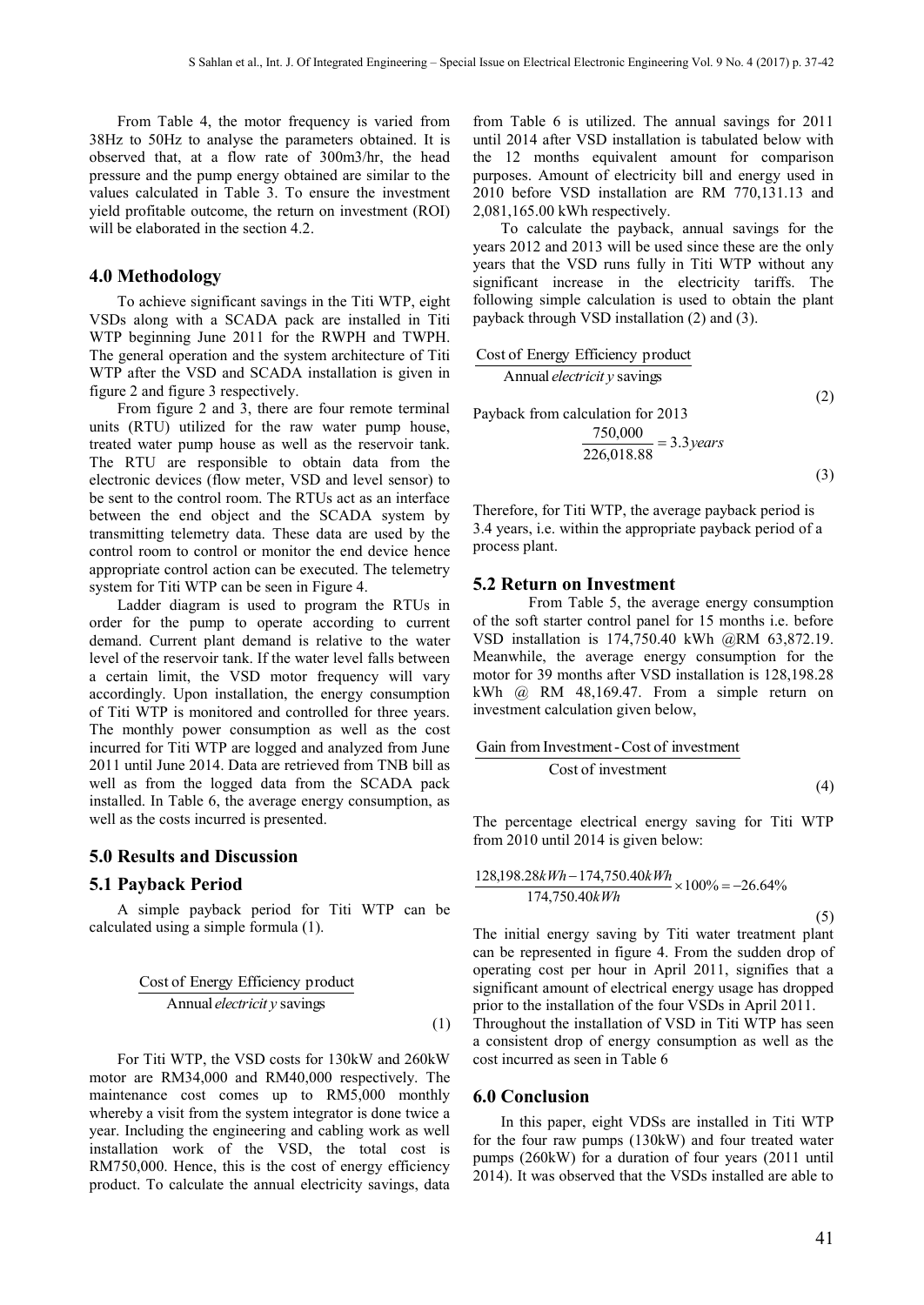From Table 4, the motor frequency is varied from 38Hz to 50Hz to analyse the parameters obtained. It is observed that, at a flow rate of 300m3/hr, the head pressure and the pump energy obtained are similar to the values calculated in Table 3. To ensure the investment yield profitable outcome, the return on investment (ROI) will be elaborated in the section 4.2.

#### **4.0 Methodology**

To achieve significant savings in the Titi WTP, eight VSDs along with a SCADA pack are installed in Titi WTP beginning June 2011 for the RWPH and TWPH. The general operation and the system architecture of Titi WTP after the VSD and SCADA installation is given in figure 2 and figure 3 respectively.

From figure 2 and 3, there are four remote terminal units (RTU) utilized for the raw water pump house, treated water pump house as well as the reservoir tank. The RTU are responsible to obtain data from the electronic devices (flow meter, VSD and level sensor) to be sent to the control room. The RTUs act as an interface between the end object and the SCADA system by transmitting telemetry data. These data are used by the control room to control or monitor the end device hence appropriate control action can be executed. The telemetry system for Titi WTP can be seen in Figure 4.

Ladder diagram is used to program the RTUs in order for the pump to operate according to current demand. Current plant demand is relative to the water level of the reservoir tank. If the water level falls between a certain limit, the VSD motor frequency will vary accordingly. Upon installation, the energy consumption of Titi WTP is monitored and controlled for three years. The monthly power consumption as well as the cost incurred for Titi WTP are logged and analyzed from June 2011 until June 2014. Data are retrieved from TNB bill as well as from the logged data from the SCADA pack installed. In Table 6, the average energy consumption, as well as the costs incurred is presented.

#### **5.0 Results and Discussion**

#### **5.1 Payback Period**

A simple payback period for Titi WTP can be calculated using a simple formula (1).

$$
\frac{\text{Cost of Energy Efficiency product}}{\text{Annual electricity savings}} \tag{1}
$$

For Titi WTP, the VSD costs for 130kW and 260kW motor are RM34,000 and RM40,000 respectively. The maintenance cost comes up to RM5,000 monthly whereby a visit from the system integrator is done twice a year. Including the engineering and cabling work as well installation work of the VSD, the total cost is RM750,000. Hence, this is the cost of energy efficiency product. To calculate the annual electricity savings, data from Table 6 is utilized. The annual savings for 2011 until 2014 after VSD installation is tabulated below with the 12 months equivalent amount for comparison purposes. Amount of electricity bill and energy used in 2010 before VSD installation are RM 770,131.13 and 2,081,165.00 kWh respectively.

To calculate the payback, annual savings for the years 2012 and 2013 will be used since these are the only years that the VSD runs fully in Titi WTP without any significant increase in the electricity tariffs. The following simple calculation is used to obtain the plant payback through VSD installation (2) and (3).

Cost of Energy Efficiency product

\nAnnual *electricity* savings

\nPayback from calculation for 2013

\n
$$
\frac{750,000}{226,018.88} = 3.3 \text{ years}
$$
\n(3)

Therefore, for Titi WTP, the average payback period is 3.4 years, i.e. within the appropriate payback period of a process plant.

#### **5.2 Return on Investment**

From Table 5, the average energy consumption of the soft starter control panel for 15 months i.e. before VSD installation is 174,750.40 kWh @RM 63,872.19. Meanwhile, the average energy consumption for the motor for 39 months after VSD installation is 128,198.28 kWh  $(a)$  RM 48,169.47. From a simple return on investment calculation given below,

Cost of investment Gain from Investment-Cost of investment (4)

The percentage electrical energy saving for Titi WTP from 2010 until 2014 is given below:

$$
\frac{128,198.28kWh - 174,750.40kWh}{174,750.40kWh} \times 100\% = -26.64\%
$$
\n(5)

The initial energy saving by Titi water treatment plant can be represented in figure 4. From the sudden drop of operating cost per hour in April 2011, signifies that a significant amount of electrical energy usage has dropped prior to the installation of the four VSDs in April 2011.

Throughout the installation of VSD in Titi WTP has seen a consistent drop of energy consumption as well as the cost incurred as seen in Table 6

#### **6.0 Conclusion**

In this paper, eight VDSs are installed in Titi WTP for the four raw pumps (130kW) and four treated water pumps (260kW) for a duration of four years (2011 until 2014). It was observed that the VSDs installed are able to